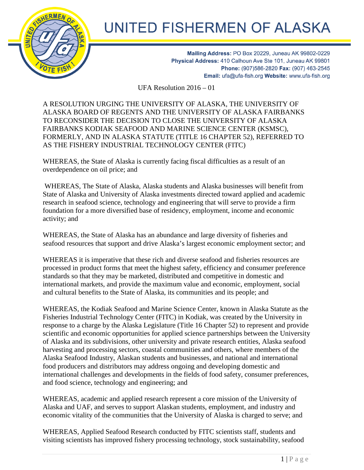

## UNITED FISHERMEN OF ALASKA

Mailing Address: PO Box 20229, Juneau AK 99802-0229 Physical Address: 410 Calhoun Ave Ste 101, Juneau AK 99801 Phone: (907)586-2820 Fax: (907) 463-2545 Email: ufa@ufa-fish.org Website: www.ufa-fish.org

UFA Resolution 2016 – 01

A RESOLUTION URGING THE UNIVERSITY OF ALASKA, THE UNIVERSITY OF ALASKA BOARD OF REGENTS AND THE UNIVERSITY OF ALASKA FAIRBANKS TO RECONSIDER THE DECISION TO CLOSE THE UNIVERSITY OF ALASKA FAIRBANKS KODIAK SEAFOOD AND MARINE SCIENCE CENTER (KSMSC), FORMERLY, AND IN ALASKA STATUTE (TITLE 16 CHAPTER 52), REFERRED TO AS THE FISHERY INDUSTRIAL TECHNOLOGY CENTER (FITC)

WHEREAS, the State of Alaska is currently facing fiscal difficulties as a result of an overdependence on oil price; and

WHEREAS, The State of Alaska, Alaska students and Alaska businesses will benefit from State of Alaska and University of Alaska investments directed toward applied and academic research in seafood science, technology and engineering that will serve to provide a firm foundation for a more diversified base of residency, employment, income and economic activity; and

WHEREAS, the State of Alaska has an abundance and large diversity of fisheries and seafood resources that support and drive Alaska's largest economic employment sector; and

WHEREAS it is imperative that these rich and diverse seafood and fisheries resources are processed in product forms that meet the highest safety, efficiency and consumer preference standards so that they may be marketed, distributed and competitive in domestic and international markets, and provide the maximum value and economic, employment, social and cultural benefits to the State of Alaska, its communities and its people; and

WHEREAS, the Kodiak Seafood and Marine Science Center, known in Alaska Statute as the Fisheries Industrial Technology Center (FITC) in Kodiak, was created by the University in response to a charge by the Alaska Legislature (Title 16 Chapter 52) to represent and provide scientific and economic opportunities for applied science partnerships between the University of Alaska and its subdivisions, other university and private research entities, Alaska seafood harvesting and processing sectors, coastal communities and others, where members of the Alaska Seafood Industry, Alaskan students and businesses, and national and international food producers and distributors may address ongoing and developing domestic and international challenges and developments in the fields of food safety, consumer preferences, and food science, technology and engineering; and

WHEREAS, academic and applied research represent a core mission of the University of Alaska and UAF, and serves to support Alaskan students, employment, and industry and economic vitality of the communities that the University of Alaska is charged to serve; and

WHEREAS, Applied Seafood Research conducted by FITC scientists staff, students and visiting scientists has improved fishery processing technology, stock sustainability, seafood